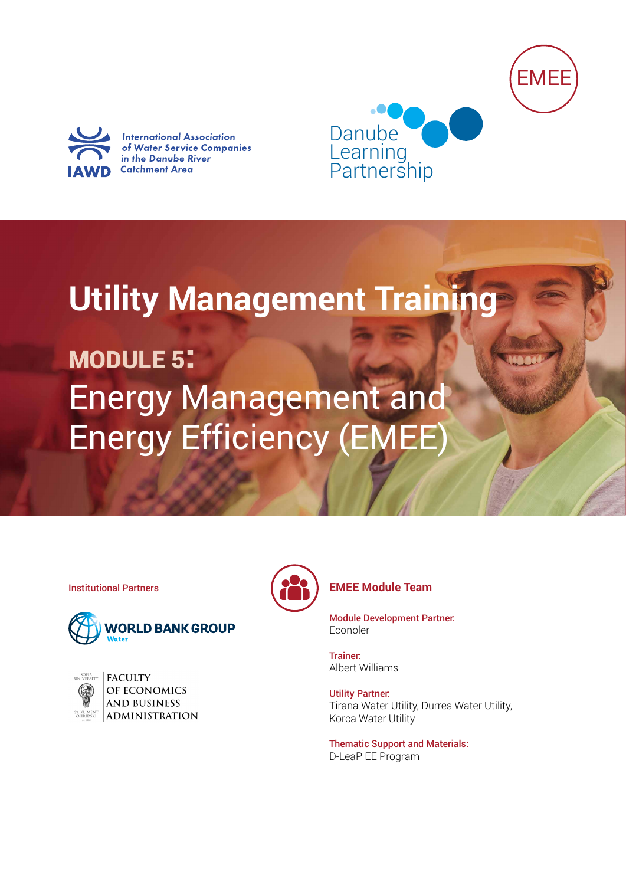



**International Association** of Water Service Companies in the Danube River **Catchment Area** 



**Utility Management Training**

MODULE 5: Energy Management and Energy Efficiency (EMEE)



| <b>UNIVERSITY</b>              |
|--------------------------------|
|                                |
| ST. KLIMENT<br><b>OHRIDSKI</b> |

**FACULTY** OF ECONOMICS **AND BUSINESS ADMINISTRATION** 



## Institutional Partners **EMEE Module Team**

Module Development Partner: Econoler

Trainer: Albert Williams

Utility Partner: Tirana Water Utility, Durres Water Utility, Korca Water Utility

Thematic Support and Materials: D-LeaP EE Program